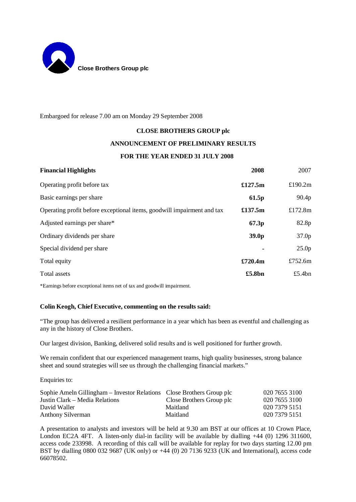

Embargoed for release 7.00 am on Monday 29 September 2008

## **CLOSE BROTHERS GROUP plc**

## **ANNOUNCEMENT OF PRELIMINARY RESULTS**

## **FOR THE YEAR ENDED 31 JULY 2008**

| <b>Financial Highlights</b>                                            | 2008              | 2007              |
|------------------------------------------------------------------------|-------------------|-------------------|
| Operating profit before tax                                            | £127.5m           | £190.2 $m$        |
| Basic earnings per share                                               | 61.5p             | 90.4 <sub>p</sub> |
| Operating profit before exceptional items, goodwill impairment and tax | £137.5m           | £172.8 $m$        |
| Adjusted earnings per share*                                           | 67.3p             | 82.8p             |
| Ordinary dividends per share                                           | 39.0 <sub>p</sub> | 37.0 <sub>p</sub> |
| Special dividend per share                                             |                   | 25.0 <sub>p</sub> |
| Total equity                                                           | £720.4m           | £752.6 $m$        |
| Total assets                                                           | £5.8bn            | £5.4 $bn$         |

\*Earnings before exceptional items net of tax and goodwill impairment.

#### **Colin Keogh, Chief Executive, commenting on the results said:**

"The group has delivered a resilient performance in a year which has been as eventful and challenging as any in the history of Close Brothers.

Our largest division, Banking, delivered solid results and is well positioned for further growth.

We remain confident that our experienced management teams, high quality businesses, strong balance sheet and sound strategies will see us through the challenging financial markets."

Enquiries to:

| Sophie Ameln Gillingham – Investor Relations Close Brothers Group plc |                          | 020 7655 3100 |
|-----------------------------------------------------------------------|--------------------------|---------------|
| Justin Clark – Media Relations                                        | Close Brothers Group plc | 020 7655 3100 |
| David Waller                                                          | Maitland                 | 020 7379 5151 |
| Anthony Silverman                                                     | Maitland                 | 020 7379 5151 |

A presentation to analysts and investors will be held at 9.30 am BST at our offices at 10 Crown Place, London EC2A 4FT. A listen-only dial-in facility will be available by dialling +44 (0) 1296 311600, access code 233998. A recording of this call will be available for replay for two days starting 12.00 pm BST by dialling 0800 032 9687 (UK only) or +44 (0) 20 7136 9233 (UK and International), access code 66078502.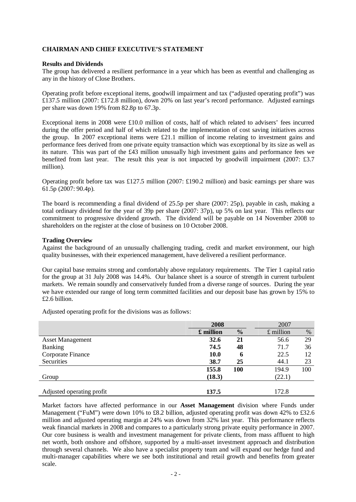## **CHAIRMAN AND CHIEF EXECUTIVE'S STATEMENT**

#### **Results and Dividends**

The group has delivered a resilient performance in a year which has been as eventful and challenging as any in the history of Close Brothers.

Operating profit before exceptional items, goodwill impairment and tax ("adjusted operating profit") was £137.5 million (2007: £172.8 million), down 20% on last year's record performance. Adjusted earnings per share was down 19% from 82.8p to 67.3p.

Exceptional items in 2008 were £10.0 million of costs, half of which related to advisers' fees incurred during the offer period and half of which related to the implementation of cost saving initiatives across the group. In 2007 exceptional items were £21.1 million of income relating to investment gains and performance fees derived from one private equity transaction which was exceptional by its size as well as its nature. This was part of the £43 million unusually high investment gains and performance fees we benefited from last year. The result this year is not impacted by goodwill impairment (2007: £3.7 million).

Operating profit before tax was £127.5 million (2007: £190.2 million) and basic earnings per share was 61.5p (2007: 90.4p).

The board is recommending a final dividend of 25.5p per share (2007: 25p), payable in cash, making a total ordinary dividend for the year of 39p per share (2007: 37p), up 5% on last year. This reflects our commitment to progressive dividend growth. The dividend will be payable on 14 November 2008 to shareholders on the register at the close of business on 10 October 2008.

#### **Trading Overview**

Against the background of an unusually challenging trading, credit and market environment, our high quality businesses, with their experienced management, have delivered a resilient performance.

Our capital base remains strong and comfortably above regulatory requirements. The Tier 1 capital ratio for the group at 31 July 2008 was 14.4%. Our balance sheet is a source of strength in current turbulent markets. We remain soundly and conservatively funded from a diverse range of sources. During the year we have extended our range of long term committed facilities and our deposit base has grown by 15% to £2.6 billion.

Adjusted operating profit for the divisions was as follows:

|                           | 2008        |               | 2007        |      |  |
|---------------------------|-------------|---------------|-------------|------|--|
|                           | £ million   | $\frac{0}{0}$ | $£$ million | $\%$ |  |
| <b>Asset Management</b>   | 32.6        | 21            | 56.6        | 29   |  |
| <b>Banking</b>            | 74.5        | 48            | 71.7        | 36   |  |
| Corporate Finance         | <b>10.0</b> | 6             | 22.5        | 12   |  |
| Securities                | 38.7        | 25            | 44.1        | 23   |  |
|                           | 155.8       | <b>100</b>    | 194.9       | 100  |  |
| Group                     | (18.3)      |               | (22.1)      |      |  |
| Adjusted operating profit | 137.5       |               | 172.8       |      |  |

Market factors have affected performance in our **Asset Management** division where Funds under Management ("FuM") were down 10% to £8.2 billion, adjusted operating profit was down 42% to £32.6 million and adjusted operating margin at 24% was down from 32% last year. This performance reflects weak financial markets in 2008 and compares to a particularly strong private equity performance in 2007. Our core business is wealth and investment management for private clients, from mass affluent to high net worth, both onshore and offshore, supported by a multi-asset investment approach and distribution through several channels. We also have a specialist property team and will expand our hedge fund and multi-manager capabilities where we see both institutional and retail growth and benefits from greater scale.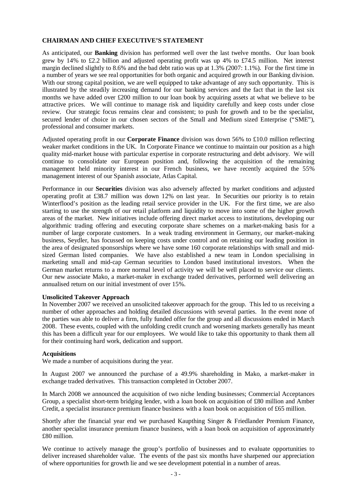## **CHAIRMAN AND CHIEF EXECUTIVE'S STATEMENT**

As anticipated, our **Banking** division has performed well over the last twelve months. Our loan book grew by 14% to £2.2 billion and adjusted operating profit was up 4% to £74.5 million. Net interest margin declined slightly to 8.6% and the bad debt ratio was up at 1.3% (2007: 1.1%). For the first time in a number of years we see real opportunities for both organic and acquired growth in our Banking division. With our strong capital position, we are well equipped to take advantage of any such opportunity. This is illustrated by the steadily increasing demand for our banking services and the fact that in the last six months we have added over £200 million to our loan book by acquiring assets at what we believe to be attractive prices. We will continue to manage risk and liquidity carefully and keep costs under close review. Our strategic focus remains clear and consistent; to push for growth and to be the specialist, secured lender of choice in our chosen sectors of the Small and Medium sized Enterprise ("SME"), professional and consumer markets.

Adjusted operating profit in our **Corporate Finance** division was down 56% to £10.0 million reflecting weaker market conditions in the UK. In Corporate Finance we continue to maintain our position as a high quality mid-market house with particular expertise in corporate restructuring and debt advisory. We will continue to consolidate our European position and, following the acquisition of the remaining management held minority interest in our French business, we have recently acquired the 55% management interest of our Spanish associate, Atlas Capital.

Performance in our **Securities** division was also adversely affected by market conditions and adjusted operating profit at £38.7 million was down 12% on last year. In Securities our priority is to retain Winterflood's position as the leading retail service provider in the UK. For the first time, we are also starting to use the strength of our retail platform and liquidity to move into some of the higher growth areas of the market. New initiatives include offering direct market access to institutions, developing our algorithmic trading offering and executing corporate share schemes on a market-making basis for a number of large corporate customers. In a weak trading environment in Germany, our market-making business, Seydler, has focussed on keeping costs under control and on retaining our leading position in the area of designated sponsorships where we have some 160 corporate relationships with small and midsized German listed companies. We have also established a new team in London specialising in marketing small and mid-cap German securities to London based institutional investors. When the German market returns to a more normal level of activity we will be well placed to service our clients. Our new associate Mako, a market-maker in exchange traded derivatives, performed well delivering an annualised return on our initial investment of over 15%.

## **Unsolicited Takeover Approach**

In November 2007 we received an unsolicited takeover approach for the group. This led to us receiving a number of other approaches and holding detailed discussions with several parties. In the event none of the parties was able to deliver a firm, fully funded offer for the group and all discussions ended in March 2008. These events, coupled with the unfolding credit crunch and worsening markets generally has meant this has been a difficult year for our employees. We would like to take this opportunity to thank them all for their continuing hard work, dedication and support.

## **Acquisitions**

We made a number of acquisitions during the year.

In August 2007 we announced the purchase of a 49.9% shareholding in Mako, a market-maker in exchange traded derivatives. This transaction completed in October 2007.

In March 2008 we announced the acquisition of two niche lending businesses; Commercial Acceptances Group, a specialist short-term bridging lender, with a loan book on acquisition of £80 million and Amber Credit, a specialist insurance premium finance business with a loan book on acquisition of £65 million.

Shortly after the financial year end we purchased Kaupthing Singer & Friedlander Premium Finance, another specialist insurance premium finance business, with a loan book on acquisition of approximately £80 million.

We continue to actively manage the group's portfolio of businesses and to evaluate opportunities to deliver increased shareholder value. The events of the past six months have sharpened our appreciation of where opportunities for growth lie and we see development potential in a number of areas.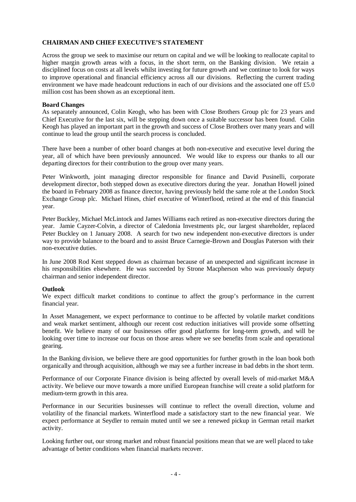## **CHAIRMAN AND CHIEF EXECUTIVE'S STATEMENT**

Across the group we seek to maximise our return on capital and we will be looking to reallocate capital to higher margin growth areas with a focus, in the short term, on the Banking division. We retain a disciplined focus on costs at all levels whilst investing for future growth and we continue to look for ways to improve operational and financial efficiency across all our divisions. Reflecting the current trading environment we have made headcount reductions in each of our divisions and the associated one off £5.0 million cost has been shown as an exceptional item.

#### **Board Changes**

As separately announced, Colin Keogh, who has been with Close Brothers Group plc for 23 years and Chief Executive for the last six, will be stepping down once a suitable successor has been found. Colin Keogh has played an important part in the growth and success of Close Brothers over many years and will continue to lead the group until the search process is concluded.

There have been a number of other board changes at both non-executive and executive level during the year, all of which have been previously announced. We would like to express our thanks to all our departing directors for their contribution to the group over many years.

Peter Winkworth, joint managing director responsible for finance and David Pusinelli, corporate development director, both stepped down as executive directors during the year. Jonathan Howell joined the board in February 2008 as finance director, having previously held the same role at the London Stock Exchange Group plc. Michael Hines, chief executive of Winterflood, retired at the end of this financial year.

Peter Buckley, Michael McLintock and James Williams each retired as non-executive directors during the year. Jamie Cayzer-Colvin, a director of Caledonia Investments plc, our largest shareholder, replaced Peter Buckley on 1 January 2008. A search for two new independent non-executive directors is under way to provide balance to the board and to assist Bruce Carnegie-Brown and Douglas Paterson with their non-executive duties.

In June 2008 Rod Kent stepped down as chairman because of an unexpected and significant increase in his responsibilities elsewhere. He was succeeded by Strone Macpherson who was previously deputy chairman and senior independent director.

## **Outlook**

We expect difficult market conditions to continue to affect the group's performance in the current financial year.

In Asset Management, we expect performance to continue to be affected by volatile market conditions and weak market sentiment, although our recent cost reduction initiatives will provide some offsetting benefit. We believe many of our businesses offer good platforms for long-term growth, and will be looking over time to increase our focus on those areas where we see benefits from scale and operational gearing.

In the Banking division, we believe there are good opportunities for further growth in the loan book both organically and through acquisition, although we may see a further increase in bad debts in the short term.

Performance of our Corporate Finance division is being affected by overall levels of mid-market M&A activity. We believe our move towards a more unified European franchise will create a solid platform for medium-term growth in this area.

Performance in our Securities businesses will continue to reflect the overall direction, volume and volatility of the financial markets. Winterflood made a satisfactory start to the new financial year. We expect performance at Seydler to remain muted until we see a renewed pickup in German retail market activity.

Looking further out, our strong market and robust financial positions mean that we are well placed to take advantage of better conditions when financial markets recover.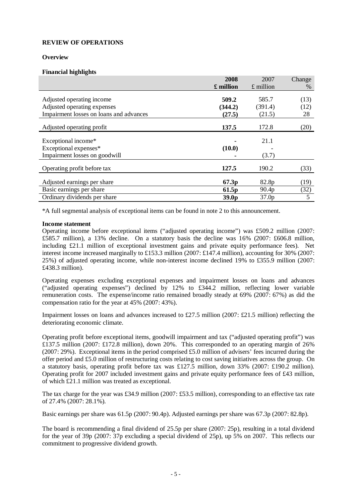### **Overview**

### **Financial highlights**

|                                         | 2008              | 2007        | Change |
|-----------------------------------------|-------------------|-------------|--------|
|                                         | £ million         | $£$ million | %      |
|                                         |                   |             |        |
| Adjusted operating income               | 509.2             | 585.7       | (13)   |
| Adjusted operating expenses             | (344.2)           | (391.4)     | (12)   |
| Impairment losses on loans and advances | (27.5)            | (21.5)      | 28     |
| Adjusted operating profit               | 137.5             | 172.8       | (20)   |
| Exceptional income*                     |                   | 21.1        |        |
| Exceptional expenses*                   | (10.0)            |             |        |
| Impairment losses on goodwill           |                   | (3.7)       |        |
| Operating profit before tax             | 127.5             | 190.2       | (33)   |
|                                         |                   |             |        |
| Adjusted earnings per share             | 67.3p             | 82.8p       | (19)   |
| Basic earnings per share                | 61.5 <sub>p</sub> | 90.4p       | (32)   |
| Ordinary dividends per share            | 39.0 <sub>p</sub> | 37.0p       | 5      |

\*A full segmental analysis of exceptional items can be found in note 2 to this announcement.

#### **Income statement**

Operating income before exceptional items ("adjusted operating income") was £509.2 million (2007: £585.7 million), a 13% decline. On a statutory basis the decline was 16% (2007: £606.8 million, including £21.1 million of exceptional investment gains and private equity performance fees). Net interest income increased marginally to £153.3 million (2007: £147.4 million), accounting for 30% (2007: 25%) of adjusted operating income, while non-interest income declined 19% to £355.9 million (2007: £438.3 million).

Operating expenses excluding exceptional expenses and impairment losses on loans and advances  $\frac{1}{2}$  ("adjusted operating expenses") declined by 12% to £344.2 million, reflecting lower variable remuneration costs. The expense/income ratio remained broadly steady at 69% (2007: 67%) as did the compensation ratio for the year at 45% (2007: 43%).

Impairment losses on loans and advances increased to £27.5 million (2007: £21.5 million) reflecting the deteriorating economic climate.

Operating profit before exceptional items, goodwill impairment and tax ("adjusted operating profit") was £137.5 million (2007: £172.8 million), down 20%. This corresponded to an operating margin of 26% (2007: 29%). Exceptional items in the period comprised £5.0 million of advisers' fees incurred during the offer period and £5.0 million of restructuring costs relating to cost saving initiatives across the group. On a statutory basis, operating profit before tax was £127.5 million, down 33% (2007: £190.2 million). Operating profit for 2007 included investment gains and private equity performance fees of £43 million, of which £21.1 million was treated as exceptional.

The tax charge for the year was £34.9 million (2007: £53.5 million), corresponding to an effective tax rate of 27.4% (2007: 28.1%).

Basic earnings per share was 61.5p (2007: 90.4p). Adjusted earnings per share was 67.3p (2007: 82.8p).

The board is recommending a final dividend of 25.5p per share (2007: 25p), resulting in a total dividend for the year of 39p (2007: 37p excluding a special dividend of 25p), up 5% on 2007. This reflects our commitment to progressive dividend growth.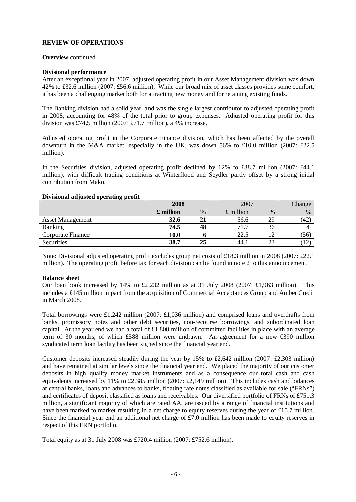### **Overview** continued

### **Divisional performance**

After an exceptional year in 2007, adjusted operating profit in our Asset Management division was down 42% to £32.6 million (2007: £56.6 million). While our broad mix of asset classes provides some comfort, it has been a challenging market both for attracting new money and for retaining existing funds.

The Banking division had a solid year, and was the single largest contributor to adjusted operating profit in 2008, accounting for 48% of the total prior to group expenses. Adjusted operating profit for this division was £74.5 million (2007: £71.7 million), a 4% increase.

Adjusted operating profit in the Corporate Finance division, which has been affected by the overall downturn in the M&A market, especially in the UK, was down 56% to £10.0 million (2007: £22.5) million).

In the Securities division, adjusted operating profit declined by 12% to £38.7 million (2007: £44.1) million), with difficult trading conditions at Winterflood and Seydler partly offset by a strong initial contribution from Mako.

|                         | 2008              |               | 2007        |               | Change  |
|-------------------------|-------------------|---------------|-------------|---------------|---------|
|                         | $\pounds$ million | $\frac{6}{9}$ | $£$ million | $\frac{0}{0}$ | $\%$    |
| <b>Asset Management</b> | 32.6              |               | 56.6        |               | (42)    |
| <b>Banking</b>          | 74.5              | 48            | 71          | .3h           |         |
| Corporate Finance       | 10.0              |               | 22.5        |               | (56)    |
| Securities              | 38.7              | 25            | 44.         |               | . I Z ' |

#### **Divisional adjusted operating profit**

Note: Divisional adjusted operating profit excludes group net costs of £18.3 million in 2008 (2007: £22.1 million). The operating profit before tax for each division can be found in note 2 to this announcement.

## **Balance sheet**

Our loan book increased by 14% to £2,232 million as at 31 July 2008 (2007: £1,963 million). This includes a £145 million impact from the acquisition of Commercial Acceptances Group and Amber Credit in March 2008.

Total borrowings were £1,242 million (2007: £1,036 million) and comprised loans and overdrafts from banks, promissory notes and other debt securities, non-recourse borrowings, and subordinated loan capital. At the year end we had a total of £1,808 million of committed facilities in place with an average term of 30 months, of which £588 million were undrawn. An agreement for a new €390 million syndicated term loan facility has been signed since the financial year end.

Customer deposits increased steadily during the year by 15% to £2,642 million (2007: £2,303 million) and have remained at similar levels since the financial year end. We placed the majority of our customer deposits in high quality money market instruments and as a consequence our total cash and cash equivalents increased by 11% to £2,385 million (2007: £2,149 million). This includes cash and balances at central banks, loans and advances to banks, floating rate notes classified as available for sale ("FRNs") and certificates of deposit classified as loans and receivables. Our diversified portfolio of FRNs of £751.3 million, a significant majority of which are rated AA, are issued by a range of financial institutions and have been marked to market resulting in a net charge to equity reserves during the year of £15.7 million. Since the financial year end an additional net charge of £7.0 million has been made to equity reserves in respect of this FRN portfolio.

Total equity as at 31 July 2008 was £720.4 million (2007: £752.6 million).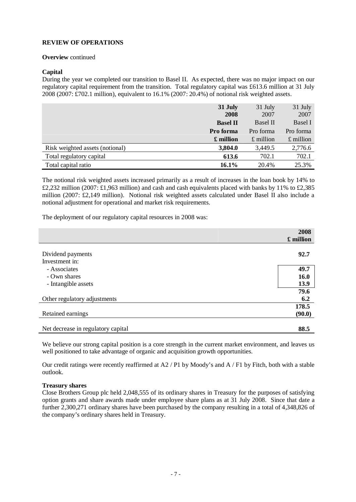### **Overview** continued

## **Capital**

During the year we completed our transition to Basel II. As expected, there was no major impact on our regulatory capital requirement from the transition. Total regulatory capital was £613.6 million at 31 July 2008 (2007: £702.1 million), equivalent to  $16.1\%$  (2007:  $20.4\%$ ) of notional risk weighted assets.

|                                 | 31 July<br>2008 | 31 July<br>2007 | 31 July<br>2007 |
|---------------------------------|-----------------|-----------------|-----------------|
|                                 | <b>Basel II</b> | <b>Basel II</b> | <b>Basel I</b>  |
|                                 | Pro forma       | Pro forma       | Pro forma       |
|                                 | £ million       | $£$ million     | $£$ million     |
| Risk weighted assets (notional) | 3,804.0         | 3,449.5         | 2,776.6         |
| Total regulatory capital        | 613.6           | 702.1           | 702.1           |
| Total capital ratio             | 16.1%           | 20.4%           | 25.3%           |

The notional risk weighted assets increased primarily as a result of increases in the loan book by 14% to £2,232 million (2007: £1,963 million) and cash and cash equivalents placed with banks by 11% to £2,385 million (2007: £2,149 million). Notional risk weighted assets calculated under Basel II also include a notional adjustment for operational and market risk requirements.

The deployment of our regulatory capital resources in 2008 was:

|                                     | 2008      |
|-------------------------------------|-----------|
|                                     | £ million |
| Dividend payments<br>Investment in: | 92.7      |
| - Associates                        | 49.7      |
| - Own shares                        | 16.0      |
| - Intangible assets                 | 13.9      |
|                                     | 79.6      |
| Other regulatory adjustments        | 6.2       |
|                                     | 178.5     |
| Retained earnings                   | (90.0)    |
| Net decrease in regulatory capital  | 88.5      |

We believe our strong capital position is a core strength in the current market environment, and leaves us well positioned to take advantage of organic and acquisition growth opportunities.

Our credit ratings were recently reaffirmed at  $A2 / P1$  by Moody's and  $A / F1$  by Fitch, both with a stable outlook.

## **Treasury shares**

Close Brothers Group plc held 2,048,555 of its ordinary shares in Treasury for the purposes of satisfying option grants and share awards made under employee share plans as at 31 July 2008. Since that date a further 2,300,271 ordinary shares have been purchased by the company resulting in a total of 4,348,826 of the company's ordinary shares held in Treasury.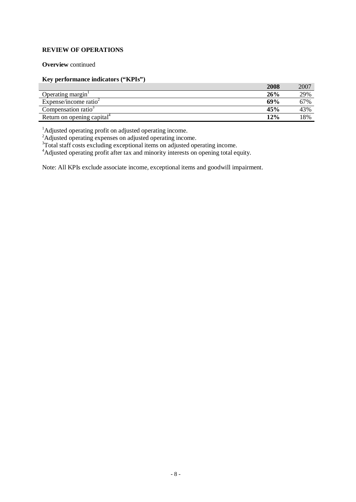## **Overview** continued

## **Key performance indicators ("KPIs")**

|                                        | 2008 | 2007 |
|----------------------------------------|------|------|
| Operating margin                       | 26%  | 29%  |
| Expense/income ratio $\epsilon$        | 69%  | 67%  |
| Compensation ratio <sup>-</sup>        | 45%  | 43%  |
| Return on opening capital <sup>4</sup> | 12%  | 18%  |

<sup>1</sup>Adjusted operating profit on adjusted operating income.

<sup>2</sup>Adjusted operating expenses on adjusted operating income.

<sup>3</sup>Total staff costs excluding exceptional items on adjusted operating income.

<sup>4</sup>Adjusted operating profit after tax and minority interests on opening total equity.

Note: All KPIs exclude associate income, exceptional items and goodwill impairment.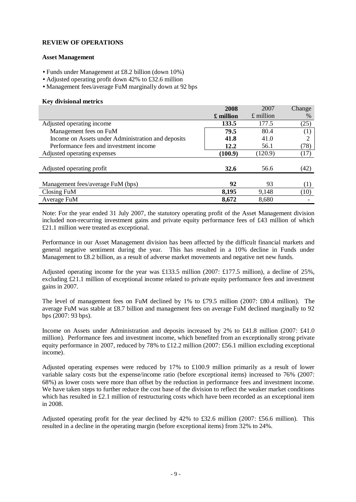### **Asset Management**

- Funds under Management at £8.2 billion (down 10%)
- Adjusted operating profit down 42% to £32.6 million
- Management fees/average FuM marginally down at 92 bps

### **Key divisional metrics**

|                                                    | 2008      | 2007        | Change |
|----------------------------------------------------|-----------|-------------|--------|
|                                                    | £ million | $£$ million | %      |
| Adjusted operating income                          | 133.5     | 177.5       | (25)   |
| Management fees on FuM                             | 79.5      | 80.4        | (1)    |
| Income on Assets under Administration and deposits | 41.8      | 41.0        | 2      |
| Performance fees and investment income             | 12.2      | 56.1        | (78)   |
| Adjusted operating expenses                        | (100.9)   | (120.9)     | (17)   |
| Adjusted operating profit                          | 32.6      | 56.6        | (42)   |
| Management fees/average FuM (bps)                  | 92        | 93          | (1)    |
| Closing FuM                                        | 8,195     | 9,148       | (10)   |
| Average FuM                                        | 8,672     | 8,680       |        |

Note: For the year ended 31 July 2007, the statutory operating profit of the Asset Management division included non-recurring investment gains and private equity performance fees of £43 million of which £21.1 million were treated as exceptional.

Performance in our Asset Management division has been affected by the difficult financial markets and general negative sentiment during the year. This has resulted in a 10% decline in Funds under Management to £8.2 billion, as a result of adverse market movements and negative net new funds.

Adjusted operating income for the year was £133.5 million (2007: £177.5 million), a decline of 25%, excluding £21.1 million of exceptional income related to private equity performance fees and investment gains in 2007.

The level of management fees on FuM declined by 1% to £79.5 million (2007: £80.4 million). The average FuM was stable at £8.7 billion and management fees on average FuM declined marginally to 92 bps (2007: 93 bps).

Income on Assets under Administration and deposits increased by 2% to £41.8 million (2007: £41.0 million). Performance fees and investment income, which benefited from an exceptionally strong private equity performance in 2007, reduced by 78% to £12.2 million (2007: £56.1 million excluding exceptional income).

Adjusted operating expenses were reduced by 17% to £100.9 million primarily as a result of lower variable salary costs but the expense/income ratio (before exceptional items) increased to 76% (2007: 68%) as lower costs were more than offset by the reduction in performance fees and investment income. We have taken steps to further reduce the cost base of the division to reflect the weaker market conditions which has resulted in £2.1 million of restructuring costs which have been recorded as an exceptional item in 2008.

Adjusted operating profit for the year declined by 42% to £32.6 million (2007: £56.6 million). This resulted in a decline in the operating margin (before exceptional items) from 32% to 24%.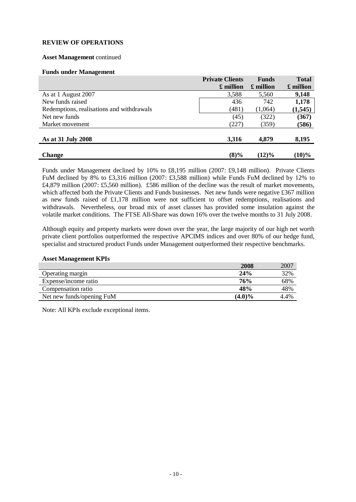## **Asset Management** continued

#### **Funds under Management**

|                                           | <b>Private Clients</b> | <b>Funds</b> | <b>Total</b> |
|-------------------------------------------|------------------------|--------------|--------------|
|                                           | £ million              | £ million    | £ million    |
| As at 1 August 2007                       | 3,588                  | 5,560        | 9,148        |
| New funds raised                          | 436                    | 742          | 1,178        |
| Redemptions, realisations and withdrawals | (481)                  | (1,064)      | (1, 545)     |
| Net new funds                             | (45)                   | (322)        | (367)        |
| Market movement                           | (227)                  | (359)        | (586)        |
| As at 31 July 2008                        | 3,316                  | 4,879        | 8,195        |
| <b>Change</b>                             | $(8)\%$                | $(12)\%$     | $(10)\%$     |

Funds under Management declined by 10% to £8,195 million (2007: £9,148 million). Private Clients FuM declined by 8% to £3,316 million (2007: £3,588 million) while Funds FuM declined by 12% to £4,879 million (2007: £5,560 million). £586 million of the decline was the result of market movements, which affected both the Private Clients and Funds businesses. Net new funds were negative £367 million as new funds raised of £1,178 million were not sufficient to offset redemptions, realisations and withdrawals. Nevertheless, our broad mix of asset classes has provided some insulation against the volatile market conditions. The FTSE All-Share was down 16% over the twelve months to 31 July 2008.

Although equity and property markets were down over the year, the large majority of our high net worth private client portfolios outperformed the respective APCIMS indices and over 80% of our hedge fund, specialist and structured product Funds under Management outperformed their respective benchmarks.

#### **Asset Management KPIs**

|                           | 2008      | 2007 |
|---------------------------|-----------|------|
| Operating margin          | 24%       | 32%  |
| Expense/income ratio      | 76%       | 68%  |
| Compensation ratio        | 48%       | 48%  |
| Net new funds/opening FuM | $(4.0)\%$ | 4.4% |

Note: All KPIs exclude exceptional items.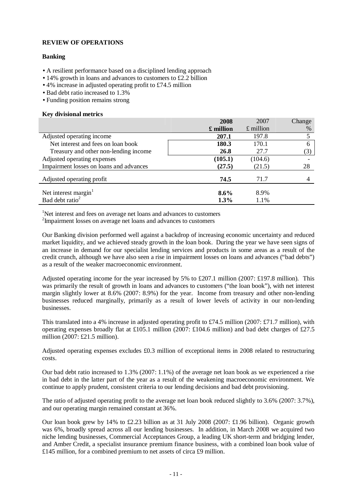## **Banking**

- A resilient performance based on a disciplined lending approach
- 14% growth in loans and advances to customers to £2.2 billion
- 4% increase in adjusted operating profit to £74.5 million
- Bad debt ratio increased to 1.3%
- Funding position remains strong

### **Key divisional metrics**

|                                         | 2008              | 2007        | Change |
|-----------------------------------------|-------------------|-------------|--------|
|                                         | $\pounds$ million | $£$ million | %      |
| Adjusted operating income               | 207.1             | 197.8       | 5      |
| Net interest and fees on loan book      | 180.3             | 170.1       | 6      |
| Treasury and other non-lending income   | 26.8              | 27.7        | (3)    |
| Adjusted operating expenses             | (105.1)           | (104.6)     |        |
| Impairment losses on loans and advances | (27.5)            | (21.5)      | 28     |
| Adjusted operating profit               | 74.5              | 71.7        |        |
| Net interest margin <sup>1</sup>        | $8.6\%$           | 8.9%        |        |
| Bad debt ratio <sup>2</sup>             | 1.3%              | 1.1%        |        |

<sup>1</sup>Net interest and fees on average net loans and advances to customers

2 Impairment losses on average net loans and advances to customers

Our Banking division performed well against a backdrop of increasing economic uncertainty and reduced market liquidity, and we achieved steady growth in the loan book. During the year we have seen signs of an increase in demand for our specialist lending services and products in some areas as a result of the credit crunch, although we have also seen a rise in impairment losses on loans and advances ("bad debts") as a result of the weaker macroeconomic environment.

Adjusted operating income for the year increased by 5% to £207.1 million (2007: £197.8 million). This was primarily the result of growth in loans and advances to customers ("the loan book"), with net interest margin slightly lower at 8.6% (2007: 8.9%) for the year. Income from treasury and other non-lending businesses reduced marginally, primarily as a result of lower levels of activity in our non-lending businesses.

This translated into a 4% increase in adjusted operating profit to £74.5 million (2007: £71.7 million), with operating expenses broadly flat at £105.1 million (2007: £104.6 million) and bad debt charges of £27.5 million (2007: £21.5 million).

Adjusted operating expenses excludes £0.3 million of exceptional items in 2008 related to restructuring costs.

Our bad debt ratio increased to 1.3% (2007: 1.1%) of the average net loan book as we experienced a rise in bad debt in the latter part of the year as a result of the weakening macroeconomic environment. We continue to apply prudent, consistent criteria to our lending decisions and bad debt provisioning.

The ratio of adjusted operating profit to the average net loan book reduced slightly to 3.6% (2007: 3.7%), and our operating margin remained constant at 36%.

Our loan book grew by 14% to £2.23 billion as at 31 July 2008 (2007: £1.96 billion). Organic growth was 6%, broadly spread across all our lending businesses. In addition, in March 2008 we acquired two niche lending businesses, Commercial Acceptances Group, a leading UK short-term and bridging lender, and Amber Credit, a specialist insurance premium finance business, with a combined loan book value of £145 million, for a combined premium to net assets of circa £9 million.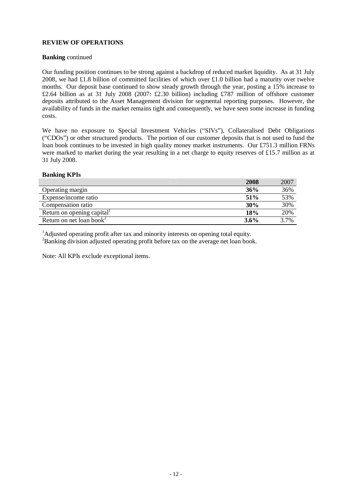## **Banking** continued

Our funding position continues to be strong against a backdrop of reduced market liquidity. As at 31 July 2008, we had £1.8 billion of committed facilities of which over £1.0 billion had a maturity over twelve months. Our deposit base continued to show steady growth through the year, posting a 15% increase to £2.64 billion as at 31 July 2008 (2007: £2.30 billion) including £787 million of offshore customer deposits attributed to the Asset Management division for segmental reporting purposes. However, the availability of funds in the market remains tight and consequently, we have seen some increase in funding costs.

We have no exposure to Special Investment Vehicles ("SIVs"), Collateralised Debt Obligations ("CDOs") or other structured products. The portion of our customer deposits that is not used to fund the loan book continues to be invested in high quality money market instruments. Our £751.3 million FRNs were marked to market during the year resulting in a net charge to equity reserves of £15.7 million as at 31 July 2008.

#### **Banking KPIs**

|                                      | 2008 | 2007 |
|--------------------------------------|------|------|
| Operating margin                     | 36%  | 36%  |
| Expense/income ratio                 | 51%  | 53%  |
| Compensation ratio                   | 30%  | 30%  |
| Return on opening capital            | 18%  | 20%  |
| Return on net loan book <sup>2</sup> | 3.6% | 3.7% |

<sup>1</sup>Adjusted operating profit after tax and minority interests on opening total equity.

<sup>2</sup>Banking division adjusted operating profit before tax on the average net loan book.

Note: All KPIs exclude exceptional items.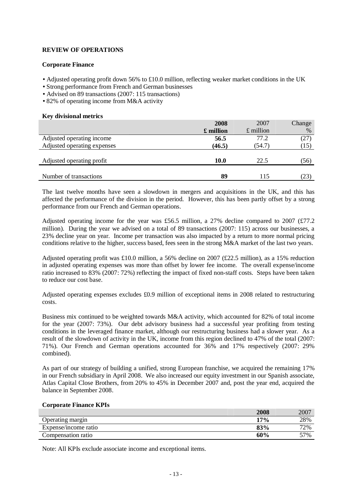### **Corporate Finance**

- **·** Adjusted operating profit down 56% to £10.0 million, reflecting weaker market conditions in the UK
- **·** Strong performance from French and German businesses
- **·** Advised on 89 transactions (2007: 115 transactions)
- **·** 82% of operating income from M&A activity

### **Key divisional metrics**

|                             | 2008      | 2007              | Change |
|-----------------------------|-----------|-------------------|--------|
|                             | £ million | $\pounds$ million | $\%$   |
| Adjusted operating income   | 56.5      | 77.2              | (27)   |
| Adjusted operating expenses | (46.5)    | (54.7)            | (15)   |
|                             |           |                   |        |
| Adjusted operating profit   | 10.0      | 22.5              | (56)   |
|                             |           |                   |        |
| Number of transactions      | 89        | 115               | (23)   |

The last twelve months have seen a slowdown in mergers and acquisitions in the UK, and this has affected the performance of the division in the period. However, this has been partly offset by a strong performance from our French and German operations.

Adjusted operating income for the year was £56.5 million, a 27% decline compared to 2007 (£77.2 million). During the year we advised on a total of 89 transactions (2007: 115) across our businesses, a 23% decline year on year. Income per transaction was also impacted by a return to more normal pricing conditions relative to the higher, success based, fees seen in the strong M&A market of the last two years.

Adjusted operating profit was £10.0 million, a 56% decline on 2007 (£22.5 million), as a 15% reduction in adjusted operating expenses was more than offset by lower fee income. The overall expense/income ratio increased to 83% (2007: 72%) reflecting the impact of fixed non-staff costs. Steps have been taken to reduce our cost base.

Adjusted operating expenses excludes £0.9 million of exceptional items in 2008 related to restructuring costs.

Business mix continued to be weighted towards M&A activity, which accounted for 82% of total income for the year (2007: 73%). Our debt advisory business had a successful year profiting from testing conditions in the leveraged finance market, although our restructuring business had a slower year. As a result of the slowdown of activity in the UK, income from this region declined to 47% of the total (2007: 71%). Our French and German operations accounted for 36% and 17% respectively (2007: 29% combined).

As part of our strategy of building a unified, strong European franchise, we acquired the remaining 17% in our French subsidiary in April 2008. We also increased our equity investment in our Spanish associate, Atlas Capital Close Brothers, from 20% to 45% in December 2007 and, post the year end, acquired the balance in September 2008.

#### **Corporate Finance KPIs**

|                      | 2008 | 2007 |
|----------------------|------|------|
| Operating margin     | 17%  | 28%  |
| Expense/income ratio | 83%  | 72%  |
| Compensation ratio   | 60%  | 57%  |

Note: All KPIs exclude associate income and exceptional items.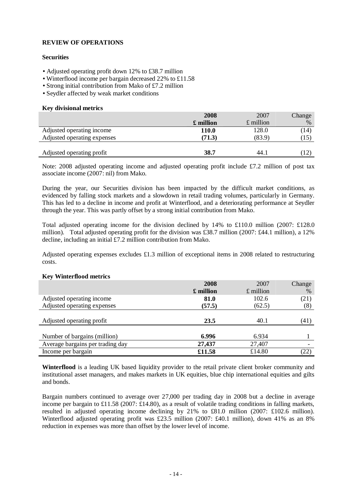## **Securities**

- **·** Adjusted operating profit down 12% to £38.7 million
- **·** Winterflood income per bargain decreased 22% to £11.58
- **·** Strong initial contribution from Mako of £7.2 million
- **·** Seydler affected by weak market conditions

#### **Key divisional metrics**

|                             | 2008         | 2007        | Change |
|-----------------------------|--------------|-------------|--------|
|                             | £ million    | $£$ million | $\%$   |
| Adjusted operating income   | <b>110.0</b> | 128.0       | (14)   |
| Adjusted operating expenses | (71.3)       | (83.9)      | (15)   |
|                             |              |             |        |
| Adjusted operating profit   | 38.7         | 44.1        | (12)   |

Note: 2008 adjusted operating income and adjusted operating profit include £7.2 million of post tax associate income (2007: nil) from Mako.

During the year, our Securities division has been impacted by the difficult market conditions, as evidenced by falling stock markets and a slowdown in retail trading volumes, particularly in Germany. This has led to a decline in income and profit at Winterflood, and a deteriorating performance at Seydler through the year. This was partly offset by a strong initial contribution from Mako.

Total adjusted operating income for the division declined by 14% to £110.0 million (2007: £128.0 million). Total adjusted operating profit for the division was £38.7 million (2007: £44.1 million), a 12% decline, including an initial £7.2 million contribution from Mako.

Adjusted operating expenses excludes £1.3 million of exceptional items in 2008 related to restructuring costs.

#### **Key Winterflood metrics**

|                                  | 2008      | 2007              | Change |
|----------------------------------|-----------|-------------------|--------|
|                                  | £ million | $\pounds$ million | %      |
| Adjusted operating income        | 81.0      | 102.6             | (21)   |
| Adjusted operating expenses      | (57.5)    | (62.5)            | (8)    |
|                                  |           |                   |        |
| Adjusted operating profit        | 23.5      | 40.1              | (41)   |
|                                  |           |                   |        |
| Number of bargains (million)     | 6.996     | 6.934             |        |
| Average bargains per trading day | 27,437    | 27,407            |        |
| Income per bargain               | £11.58    | £14.80            | (22)   |

**Winterflood** is a leading UK based liquidity provider to the retail private client broker community and institutional asset managers, and makes markets in UK equities, blue chip international equities and gilts and bonds.

Bargain numbers continued to average over 27,000 per trading day in 2008 but a decline in average income per bargain to £11.58 (2007: £14.80), as a result of volatile trading conditions in falling markets, resulted in adjusted operating income declining by 21% to £81.0 million (2007: £102.6 million). Winterflood adjusted operating profit was £23.5 million (2007: £40.1 million), down 41% as an 8% reduction in expenses was more than offset by the lower level of income.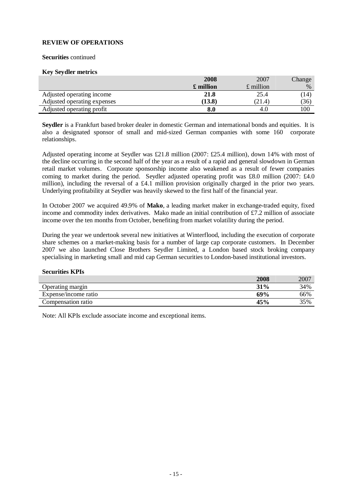#### **Securities** continued

#### **Key Seydler metrics**

|                             | 2008              | 2007        | Change |
|-----------------------------|-------------------|-------------|--------|
|                             | $\pounds$ million | $£$ million | $\%$   |
| Adjusted operating income   | 21.8              | 25.4        | (14)   |
| Adjusted operating expenses | (13.8)            | (21.4)      | (36)   |
| Adjusted operating profit   | 8.0               | 4.U         | 100    |

**Seydler** is a Frankfurt based broker dealer in domestic German and international bonds and equities. It is also a designated sponsor of small and mid-sized German companies with some 160 corporate relationships.

Adjusted operating income at Seydler was £21.8 million (2007: £25.4 million), down 14% with most of the decline occurring in the second half of the year as a result of a rapid and general slowdown in German retail market volumes. Corporate sponsorship income also weakened as a result of fewer companies coming to market during the period. Seydler adjusted operating profit was £8.0 million (2007: £4.0 million), including the reversal of a £4.1 million provision originally charged in the prior two years. Underlying profitability at Seydler was heavily skewed to the first half of the financial year.

In October 2007 we acquired 49.9% of **Mako**, a leading market maker in exchange-traded equity, fixed income and commodity index derivatives. Mako made an initial contribution of £7.2 million of associate income over the ten months from October, benefiting from market volatility during the period.

During the year we undertook several new initiatives at Winterflood, including the execution of corporate share schemes on a market-making basis for a number of large cap corporate customers. In December 2007 we also launched Close Brothers Seydler Limited, a London based stock broking company specialising in marketing small and mid cap German securities to London-based institutional investors.

#### **Securities KPIs**

|                      | 2008 | 2007 |
|----------------------|------|------|
| Operating margin     | 31%  | 34%  |
| Expense/income ratio | 69%  | 66%  |
| Compensation ratio   | 45%  | 35%  |

Note: All KPIs exclude associate income and exceptional items.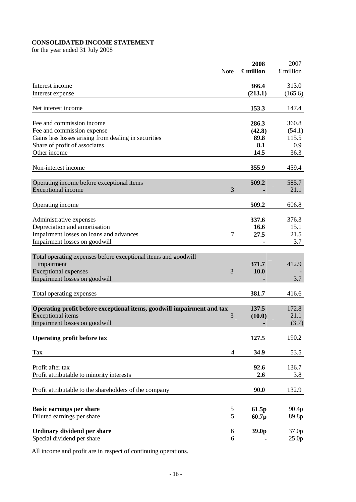# **CONSOLIDATED INCOME STATEMENT**

for the year ended 31 July 2008

|                                                                        | Note           | 2008<br>£ million | 2007<br>£ million          |
|------------------------------------------------------------------------|----------------|-------------------|----------------------------|
|                                                                        |                |                   |                            |
| Interest income                                                        |                | 366.4             | 313.0                      |
| Interest expense                                                       |                | (213.1)           | (165.6)                    |
|                                                                        |                |                   |                            |
| Net interest income                                                    |                | 153.3             | 147.4                      |
| Fee and commission income                                              |                | 286.3             | 360.8                      |
| Fee and commission expense                                             |                | (42.8)            | (54.1)                     |
| Gains less losses arising from dealing in securities                   |                | 89.8              | 115.5                      |
| Share of profit of associates                                          |                | 8.1               | 0.9                        |
| Other income                                                           |                | 14.5              | 36.3                       |
| Non-interest income                                                    |                | 355.9             | 459.4                      |
|                                                                        |                |                   |                            |
| Operating income before exceptional items                              |                | 509.2             | 585.7                      |
| Exceptional income                                                     | 3              |                   | 21.1                       |
|                                                                        |                |                   |                            |
| Operating income                                                       |                | 509.2             | 606.8                      |
|                                                                        |                | 337.6             | 376.3                      |
| Administrative expenses                                                |                | 16.6              | 15.1                       |
| Depreciation and amortisation                                          | 7              | 27.5              | 21.5                       |
| Impairment losses on loans and advances                                |                |                   | 3.7                        |
| Impairment losses on goodwill                                          |                |                   |                            |
| Total operating expenses before exceptional items and goodwill         |                |                   |                            |
| impairment                                                             |                | 371.7             | 412.9                      |
| <b>Exceptional expenses</b>                                            | 3              | 10.0              |                            |
| Impairment losses on goodwill                                          |                |                   | 3.7                        |
|                                                                        |                | 381.7             | 416.6                      |
| Total operating expenses                                               |                |                   |                            |
| Operating profit before exceptional items, goodwill impairment and tax |                | 137.5             | 172.8                      |
| <b>Exceptional</b> items                                               | 3              | (10.0)            | 21.1                       |
| Impairment losses on goodwill                                          |                |                   | (3.7)                      |
|                                                                        |                |                   |                            |
| Operating profit before tax                                            |                | 127.5             | 190.2                      |
| Tax                                                                    | $\overline{4}$ | 34.9              | 53.5                       |
| Profit after tax                                                       |                | 92.6              | 136.7                      |
| Profit attributable to minority interests                              |                | 2.6               | 3.8                        |
|                                                                        |                |                   |                            |
| Profit attributable to the shareholders of the company                 |                | 90.0              | 132.9                      |
|                                                                        |                |                   |                            |
| <b>Basic earnings per share</b>                                        | 5              | 61.5p             | 90.4p                      |
| Diluted earnings per share                                             | 5              | 60.7p             | 89.8p                      |
|                                                                        |                |                   |                            |
| Ordinary dividend per share<br>Special dividend per share              | 6<br>6         | 39.0p             | 37.0p<br>25.0 <sub>p</sub> |
|                                                                        |                |                   |                            |

All income and profit are in respect of continuing operations.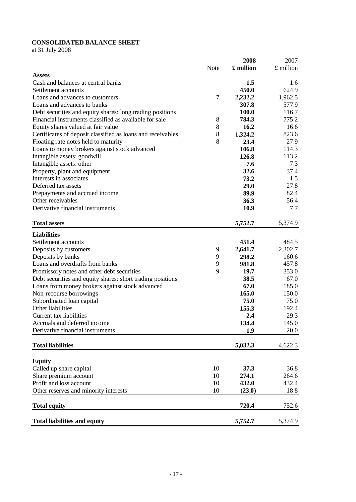# **CONSOLIDATED BALANCE SHEET**

at 31 July 2008

|                                                             |       | 2008      | 2007      |
|-------------------------------------------------------------|-------|-----------|-----------|
|                                                             | Note  | £ million | £ million |
| <b>Assets</b>                                               |       |           |           |
| Cash and balances at central banks                          |       | 1.5       | 1.6       |
| Settlement accounts                                         |       | 450.0     | 624.9     |
| Loans and advances to customers                             | 7     | 2,232.2   | 1,962.5   |
| Loans and advances to banks                                 |       | 307.8     | 577.9     |
| Debt securities and equity shares: long trading positions   |       | 100.0     | 116.7     |
| Financial instruments classified as available for sale      | 8     | 784.3     | 775.2     |
| Equity shares valued at fair value                          | 8     | 16.2      | 16.6      |
| Certificates of deposit classified as loans and receivables | $8\,$ | 1,324.2   | 823.6     |
| Floating rate notes held to maturity                        | 8     | 23.4      | 27.9      |
| Loans to money brokers against stock advanced               |       | 106.8     | 114.3     |
| Intangible assets: goodwill                                 |       | 126.8     | 113.2     |
| Intangible assets: other                                    |       | 7.6       | 7.3       |
| Property, plant and equipment                               |       | 32.6      | 37.4      |
| Interests in associates                                     |       | 73.2      | 1.5       |
| Deferred tax assets                                         |       | 29.0      | 27.8      |
| Prepayments and accrued income                              |       | 89.9      | 82.4      |
| Other receivables                                           |       | 36.3      | 56.4      |
| Derivative financial instruments                            |       | 10.9      | 7.7       |
|                                                             |       |           |           |
| <b>Total assets</b>                                         |       | 5,752.7   | 5,374.9   |
| <b>Liabilities</b>                                          |       |           |           |
| Settlement accounts                                         |       | 451.4     | 484.5     |
| Deposits by customers                                       | 9     | 2,641.7   | 2,302.7   |
| Deposits by banks                                           | 9     | 298.2     | 160.6     |
| Loans and overdrafts from banks                             | 9     | 981.8     | 457.8     |
| Promissory notes and other debt securities                  | 9     | 19.7      | 353.0     |
| Debt securities and equity shares: short trading positions  |       | 38.5      | 67.0      |
| Loans from money brokers against stock advanced             |       | 67.0      | 185.0     |
| Non-recourse borrowings                                     |       | 165.0     | 150.0     |
| Subordinated loan capital                                   |       | 75.0      | 75.0      |
| Other liabilities                                           |       | 155.3     | 192.4     |
| Current tax liabilities                                     |       | 2.4       | 29.3      |
| Accruals and deferred income                                |       | 134.4     | 145.0     |
| Derivative financial instruments                            |       | 1.9       | 20.0      |
|                                                             |       |           |           |
| <b>Total liabilities</b>                                    |       | 5,032.3   | 4,622.3   |
|                                                             |       |           |           |
| <b>Equity</b>                                               |       |           |           |
| Called up share capital                                     | 10    | 37.3      | 36.8      |
| Share premium account                                       | 10    | 274.1     | 264.6     |
| Profit and loss account                                     | 10    | 432.0     | 432.4     |
| Other reserves and minority interests                       | 10    | (23.0)    | 18.8      |
| <b>Total equity</b>                                         |       | 720.4     | 752.6     |
|                                                             |       |           |           |
| <b>Total liabilities and equity</b>                         |       | 5,752.7   | 5,374.9   |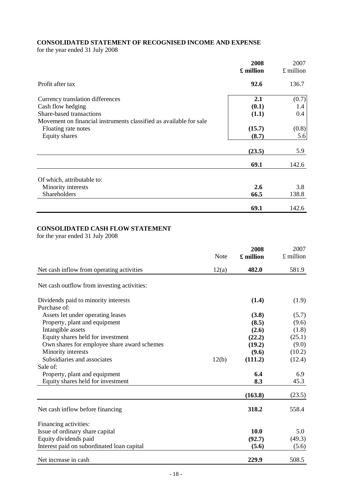# **CONSOLIDATED STATEMENT OF RECOGNISED INCOME AND EXPENSE**

for the year ended 31 July 2008

|                                                                                                                                                         | 2008<br>£ million     | 2007<br>$\pounds$ million |
|---------------------------------------------------------------------------------------------------------------------------------------------------------|-----------------------|---------------------------|
| Profit after tax                                                                                                                                        | 92.6                  | 136.7                     |
| Currency translation differences<br>Cash flow hedging<br>Share-based transactions<br>Movement on financial instruments classified as available for sale | 2.1<br>(0.1)<br>(1.1) | (0.7)<br>1.4<br>0.4       |
| Floating rate notes<br>Equity shares                                                                                                                    | (15.7)<br>(8.7)       | (0.8)<br>5.6              |
|                                                                                                                                                         | (23.5)                | 5.9                       |
|                                                                                                                                                         | 69.1                  | 142.6                     |
| Of which, attributable to:                                                                                                                              |                       |                           |
| Minority interests<br>Shareholders                                                                                                                      | 2.6<br>66.5           | 3.8<br>138.8              |
|                                                                                                                                                         | 69.1                  | 142.6                     |

## **CONSOLIDATED CASH FLOW STATEMENT**

for the year ended 31 July 2008

|                                             | <b>Note</b> | 2008<br>£ million | 2007<br>$£$ million |
|---------------------------------------------|-------------|-------------------|---------------------|
|                                             |             |                   |                     |
| Net cash inflow from operating activities   | 12(a)       | 482.0             | 581.9               |
| Net cash outflow from investing activities: |             |                   |                     |
| Dividends paid to minority interests        |             | (1.4)             | (1.9)               |
| Purchase of:                                |             |                   |                     |
| Assets let under operating leases           |             | (3.8)             | (5.7)               |
| Property, plant and equipment               |             | (8.5)             | (9.6)               |
| Intangible assets                           |             | (2.6)             | (1.8)               |
| Equity shares held for investment           |             | (22.2)            | (25.1)              |
| Own shares for employee share award schemes |             | (19.2)            | (9.0)               |
| Minority interests                          |             | (9.6)             | (10.2)              |
| Subsidiaries and associates                 | 12(b)       | (111.2)           | (12.4)              |
| Sale of:                                    |             |                   |                     |
| Property, plant and equipment               |             | 6.4               | 6.9                 |
| Equity shares held for investment           |             | 8.3               | 45.3                |
|                                             |             | (163.8)           | (23.5)              |
| Net cash inflow before financing            |             | 318.2             | 558.4               |
| Financing activities:                       |             |                   |                     |
| Issue of ordinary share capital             |             | 10.0              | 5.0                 |
| Equity dividends paid                       |             | (92.7)            | (49.3)              |
| Interest paid on subordinated loan capital  |             | (5.6)             | (5.6)               |
| Net increase in cash                        |             | 229.9             | 508.5               |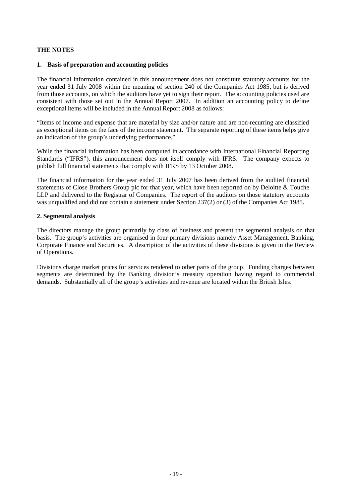## **1. Basis of preparation and accounting policies**

The financial information contained in this announcement does not constitute statutory accounts for the year ended 31 July 2008 within the meaning of section 240 of the Companies Act 1985, but is derived from those accounts, on which the auditors have yet to sign their report. The accounting policies used are consistent with those set out in the Annual Report 2007. In addition an accounting policy to define exceptional items will be included in the Annual Report 2008 as follows:

"Items of income and expense that are material by size and/or nature and are non-recurring are classified as exceptional items on the face of the income statement. The separate reporting of these items helps give an indication of the group's underlying performance."

While the financial information has been computed in accordance with International Financial Reporting Standards ("IFRS"), this announcement does not itself comply with IFRS. The company expects to publish full financial statements that comply with IFRS by 13 October 2008.

The financial information for the year ended 31 July 2007 has been derived from the audited financial statements of Close Brothers Group plc for that year, which have been reported on by Deloitte & Touche LLP and delivered to the Registrar of Companies. The report of the auditors on those statutory accounts was unqualified and did not contain a statement under Section 237(2) or (3) of the Companies Act 1985.

#### **2. Segmental analysis**

The directors manage the group primarily by class of business and present the segmental analysis on that basis. The group's activities are organised in four primary divisions namely Asset Management, Banking, Corporate Finance and Securities. A description of the activities of these divisions is given in the Review of Operations.

Divisions charge market prices for services rendered to other parts of the group. Funding charges between segments are determined by the Banking division's treasury operation having regard to commercial demands. Substantially all of the group's activities and revenue are located within the British Isles.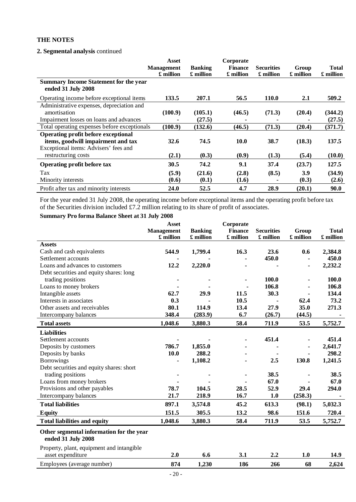## **2. Segmental analysis** continued

|                                                                                                                    | Asset<br><b>Management</b><br>£ million | <b>Banking</b><br>£ million | Corporate<br><b>Finance</b><br>£ million | <b>Securities</b><br>£ million | Group<br>£ million | <b>Total</b><br>£ million |
|--------------------------------------------------------------------------------------------------------------------|-----------------------------------------|-----------------------------|------------------------------------------|--------------------------------|--------------------|---------------------------|
| <b>Summary Income Statement for the year</b><br>ended 31 July 2008                                                 |                                         |                             |                                          |                                |                    |                           |
| Operating income before exceptional items                                                                          | 133.5                                   | 207.1                       | 56.5                                     | <b>110.0</b>                   | 2.1                | 509.2                     |
| Administrative expenses, depreciation and<br>amortisation                                                          | (100.9)                                 | (105.1)                     | (46.5)                                   | (71.3)                         | (20.4)             | (344.2)                   |
| Impairment losses on loans and advances                                                                            |                                         | (27.5)                      |                                          |                                |                    | (27.5)                    |
| Total operating expenses before exceptionals                                                                       | (100.9)                                 | (132.6)                     | (46.5)                                   | (71.3)                         | (20.4)             | (371.7)                   |
| Operating profit before exceptional<br>items, goodwill impairment and tax<br>Exceptional items: Advisers' fees and | 32.6                                    | 74.5                        | <b>10.0</b>                              | 38.7                           | (18.3)             | 137.5                     |
| restructuring costs                                                                                                | (2.1)                                   | (0.3)                       | (0.9)                                    | (1.3)                          | (5.4)              | (10.0)                    |
| Operating profit before tax                                                                                        | 30.5                                    | 74.2                        | 9.1                                      | 37.4                           | (23.7)             | 127.5                     |
| Tax<br>Minority interests                                                                                          | (5.9)<br>(0.6)                          | (21.6)<br>(0.1)             | (2.8)<br>(1.6)                           | (8.5)                          | 3.9<br>(0.3)       | (34.9)<br>(2.6)           |
| Profit after tax and minority interests                                                                            | 24.0                                    | 52.5                        | 4.7                                      | 28.9                           | (20.1)             | 90.0                      |

For the year ended 31 July 2008, the operating income before exceptional items and the operating profit before tax of the Securities division included £7.2 million relating to its share of profit of associates.

## **Summary Pro forma Balance Sheet at 31 July 2008**

|                                                                | <b>Asset</b>      |                | Corporate      |                   |           |              |
|----------------------------------------------------------------|-------------------|----------------|----------------|-------------------|-----------|--------------|
|                                                                | <b>Management</b> | <b>Banking</b> | <b>Finance</b> | <b>Securities</b> | Group     | <b>Total</b> |
|                                                                | £ million         | £ million      | £ million      | £ million         | £ million | £ million    |
| <b>Assets</b>                                                  |                   |                |                |                   |           |              |
| Cash and cash equivalents                                      | 544.9             | 1,799.4        | 16.3           | 23.6              | 0.6       | 2,384.8      |
| Settlement accounts                                            |                   |                |                | 450.0             |           | 450.0        |
| Loans and advances to customers                                | 12.2              | 2,220.0        |                |                   |           | 2,232.2      |
| Debt securities and equity shares: long                        |                   |                |                |                   |           |              |
| trading positions                                              |                   |                |                | 100.0             |           | 100.0        |
| Loans to money brokers                                         |                   |                |                | 106.8             |           | 106.8        |
| Intangible assets                                              | 62.7              | 29.9           | 11.5           | 30.3              |           | 134.4        |
| Interests in associates                                        | 0.3               |                | 10.5           |                   | 62.4      | 73.2         |
| Other assets and receivables                                   | 80.1              | 114.9          | 13.4           | 27.9              | 35.0      | 271.3        |
| Intercompany balances                                          | 348.4             | (283.9)        | 6.7            | (26.7)            | (44.5)    |              |
| <b>Total assets</b>                                            | 1,048.6           | 3,880.3        | 58.4           | 711.9             | 53.5      | 5,752.7      |
| <b>Liabilities</b>                                             |                   |                |                |                   |           |              |
| Settlement accounts                                            |                   |                |                | 451.4             |           | 451.4        |
| Deposits by customers                                          | 786.7             | 1,855.0        |                |                   |           | 2,641.7      |
| Deposits by banks                                              | 10.0              | 288.2          |                |                   |           | 298.2        |
| <b>Borrowings</b>                                              |                   | 1,108.2        |                | 2.5               | 130.8     | 1,241.5      |
| Debt securities and equity shares: short                       |                   |                |                |                   |           |              |
| trading positions                                              |                   |                |                | 38.5              |           | 38.5         |
| Loans from money brokers                                       |                   |                |                | 67.0              |           | 67.0         |
| Provisions and other payables                                  | 78.7              | 104.5          | 28.5           | 52.9              | 29.4      | 294.0        |
| Intercompany balances                                          | 21.7              | 218.9          | 16.7           | 1.0               | (258.3)   |              |
| <b>Total liabilities</b>                                       | 897.1             | 3,574.8        | 45.2           | 613.3             | (98.1)    | 5,032.3      |
| <b>Equity</b>                                                  | 151.5             | 305.5          | 13.2           | 98.6              | 151.6     | 720.4        |
| <b>Total liabilities and equity</b>                            | 1,048.6           | 3,880.3        | 58.4           | 711.9             | 53.5      | 5,752.7      |
| Other segmental information for the year<br>ended 31 July 2008 |                   |                |                |                   |           |              |
| Property, plant, equipment and intangible                      |                   |                |                |                   |           |              |
| asset expenditure                                              | 2.0               | 6.6            | 3.1            | 2.2               | 1.0       | 14.9         |
| Employees (average number)                                     | 874               | 1,230          | 186            | 266               | 68        | 2,624        |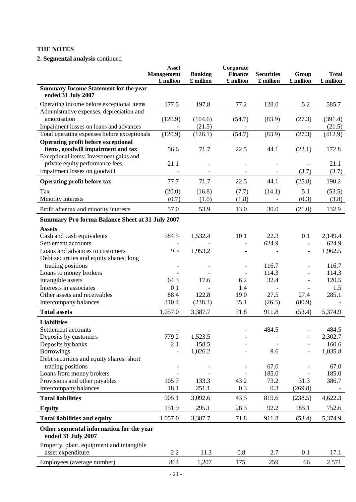# **2. Segmental analysis** continued

|                                                                                  | <b>Asset</b><br><b>Management</b> | <b>Banking</b> | Corporate<br><b>Finance</b> | <b>Securities</b> | Group                    | <b>Total</b>   |
|----------------------------------------------------------------------------------|-----------------------------------|----------------|-----------------------------|-------------------|--------------------------|----------------|
| <b>Summary Income Statement for the year</b>                                     | £ million                         | £ million      | £ million                   | £ million         | £ million                | £ million      |
| ended 31 July 2007                                                               |                                   |                |                             |                   |                          |                |
| Operating income before exceptional items                                        | 177.5                             | 197.8          | 77.2                        | 128.0             | 5.2                      | 585.7          |
| Administrative expenses, depreciation and                                        |                                   |                |                             |                   |                          |                |
| amortisation                                                                     | (120.9)                           | (104.6)        | (54.7)                      | (83.9)            | (27.3)                   | (391.4)        |
| Impairment losses on loans and advances                                          |                                   | (21.5)         |                             |                   |                          | (21.5)         |
| Total operating expenses before exceptionals                                     | (120.9)                           | (126.1)        | (54.7)                      | (83.9)            | (27.3)                   | (412.9)        |
| <b>Operating profit before exceptional</b><br>items, goodwill impairment and tax | 56.6                              | 71.7           | 22.5                        | 44.1              | (22.1)                   | 172.8          |
| Exceptional items: Investment gains and                                          |                                   |                |                             |                   |                          |                |
| private equity performance fees                                                  | 21.1                              |                |                             |                   |                          | 21.1           |
| Impairment losses on goodwill                                                    |                                   |                |                             |                   | (3.7)                    | (3.7)          |
| Operating profit before tax                                                      | 77.7                              | 71.7           | 22.5                        | 44.1              | (25.8)                   | 190.2          |
| Tax                                                                              | (20.0)                            | (16.8)         | (7.7)                       | (14.1)            | 5.1                      | (53.5)         |
| Minority interests                                                               | (0.7)                             | (1.0)          | (1.8)                       |                   | (0.3)                    | (3.8)          |
| Profit after tax and minority interests                                          | 57.0                              | 53.9           | 13.0                        | 30.0              | (21.0)                   | 132.9          |
| <b>Summary Pro forma Balance Sheet at 31 July 2007</b>                           |                                   |                |                             |                   |                          |                |
| <b>Assets</b>                                                                    |                                   |                |                             |                   |                          |                |
| Cash and cash equivalents                                                        | 584.5                             | 1,532.4        | 10.1                        | 22.3              | 0.1                      | 2,149.4        |
| Settlement accounts                                                              |                                   |                |                             | 624.9             | $\overline{\phantom{a}}$ | 624.9          |
| Loans and advances to customers                                                  | 9.3                               | 1,953.2        |                             |                   | $\overline{\phantom{a}}$ | 1,962.5        |
| Debt securities and equity shares: long                                          |                                   |                |                             |                   |                          |                |
| trading positions<br>Loans to money brokers                                      |                                   |                |                             | 116.7<br>114.3    |                          | 116.7<br>114.3 |
| Intangible assets                                                                | 64.3                              | 17.6           | 6.2                         | 32.4              |                          | 120.5          |
| Interests in associates                                                          | 0.1                               |                | 1.4                         |                   |                          | 1.5            |
| Other assets and receivables                                                     | 88.4                              | 122.8          | 19.0                        | 27.5              | 27.4                     | 285.1          |
| Intercompany balances                                                            | 310.4                             | (238.3)        | 35.1                        | (26.3)            | (80.9)                   |                |
| <b>Total assets</b>                                                              | 1,057.0                           | 3,387.7        | 71.8                        | 911.8             | (53.4)                   | 5,374.9        |
|                                                                                  |                                   |                |                             |                   |                          |                |
| <b>Liabilities</b>                                                               |                                   |                |                             |                   |                          |                |
| Settlement accounts                                                              |                                   |                |                             | 484.5             |                          | 484.5          |
| Deposits by customers                                                            | 779.2                             | 1,523.5        |                             |                   |                          | 2,302.7        |
| Deposits by banks                                                                | 2.1                               | 158.5          |                             |                   |                          | 160.6          |
| <b>Borrowings</b><br>Debt securities and equity shares: short                    |                                   | 1,026.2        |                             | 9.6               |                          | 1,035.8        |
| trading positions                                                                |                                   |                |                             | 67.0              |                          | 67.0           |
| Loans from money brokers                                                         |                                   |                |                             | 185.0             |                          | 185.0          |
| Provisions and other payables                                                    | 105.7                             | 133.3          | 43.2                        | 73.2              | 31.3                     | 386.7          |
| Intercompany balances                                                            | 18.1                              | 251.1          | 0.3                         | 0.3               | (269.8)                  |                |
| <b>Total liabilities</b>                                                         | 905.1                             | 3,092.6        | 43.5                        | 819.6             | (238.5)                  | 4,622.3        |
| <b>Equity</b>                                                                    | 151.9                             | 295.1          | 28.3                        | 92.2              | 185.1                    | 752.6          |
| <b>Total liabilities and equity</b>                                              | 1,057.0                           | 3,387.7        | 71.8                        | 911.8             | (53.4)                   | 5,374.9        |
| Other segmental information for the year<br>ended 31 July 2007                   |                                   |                |                             |                   |                          |                |
| Property, plant, equipment and intangible                                        |                                   |                |                             |                   |                          |                |
| asset expenditure                                                                | 2.2                               | 11.3           | 0.8                         | 2.7               | 0.1                      | 17.1           |
| Employees (average number)                                                       | 864                               | 1,207          | 175                         | 259               | 66                       | 2,571          |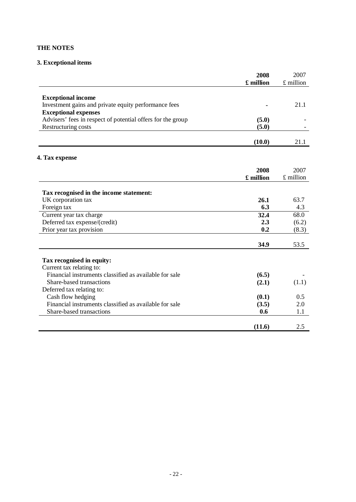# **3. Exceptional items**

|                                                             | 2008      | 2007        |
|-------------------------------------------------------------|-----------|-------------|
|                                                             | £ million | £ million   |
| <b>Exceptional income</b>                                   |           |             |
| Investment gains and private equity performance fees        |           | 21.1        |
| <b>Exceptional expenses</b>                                 |           |             |
| Advisers' fees in respect of potential offers for the group | (5.0)     |             |
| Restructuring costs                                         | (5.0)     |             |
|                                                             |           |             |
|                                                             | (10.0)    | 21.1        |
|                                                             |           |             |
| 4. Tax expense                                              |           |             |
|                                                             | 2008      | 2007        |
|                                                             | £ million | $£$ million |
|                                                             |           |             |
| Tax recognised in the income statement:                     |           |             |
| UK corporation tax                                          | 26.1      | 63.7        |
| Foreign tax                                                 | 6.3       | 4.3         |
| Current year tax charge                                     | 32.4      | 68.0        |
| Deferred tax expense/(credit)                               | 2.3       | (6.2)       |
| Prior year tax provision                                    | 0.2       | (8.3)       |
|                                                             | 34.9      | 53.5        |
| Tax recognised in equity:                                   |           |             |
| Current tax relating to:                                    |           |             |
| Financial instruments classified as available for sale      | (6.5)     |             |
| Share-based transactions                                    | (2.1)     | (1.1)       |
| Deferred tax relating to:                                   |           |             |
| Cash flow hedging                                           | (0.1)     | 0.5         |
| Financial instruments classified as available for sale      | (3.5)     | 2.0         |
| Share-based transactions                                    | 0.6       | 1.1         |
|                                                             |           |             |
|                                                             | (11.6)    | 2.5         |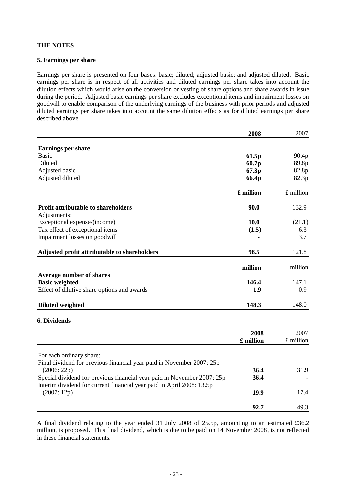## **5. Earnings per share**

Earnings per share is presented on four bases: basic; diluted; adjusted basic; and adjusted diluted. Basic earnings per share is in respect of all activities and diluted earnings per share takes into account the dilution effects which would arise on the conversion or vesting of share options and share awards in issue during the period. Adjusted basic earnings per share excludes exceptional items and impairment losses on goodwill to enable comparison of the underlying earnings of the business with prior periods and adjusted diluted earnings per share takes into account the same dilution effects as for diluted earnings per share described above.

|                                                                         | 2008           | 2007        |
|-------------------------------------------------------------------------|----------------|-------------|
|                                                                         |                |             |
| <b>Earnings per share</b><br><b>Basic</b>                               | 61.5p          | 90.4p       |
| Diluted                                                                 | 60.7p          | 89.8p       |
| Adjusted basic                                                          | 67.3p          | 82.8p       |
| Adjusted diluted                                                        | 66.4p          | 82.3p       |
|                                                                         |                |             |
|                                                                         | £ million      | $£$ million |
| <b>Profit attributable to shareholders</b>                              | 90.0           | 132.9       |
| Adjustments:                                                            |                |             |
| Exceptional expense/(income)                                            | 10.0           | (21.1)      |
| Tax effect of exceptional items                                         | (1.5)          | 6.3         |
| Impairment losses on goodwill                                           | $\blacksquare$ | 3.7         |
| Adjusted profit attributable to shareholders                            | 98.5           | 121.8       |
|                                                                         |                |             |
|                                                                         | million        | million     |
| <b>Average number of shares</b>                                         |                |             |
| <b>Basic weighted</b>                                                   | 146.4          | 147.1       |
| Effect of dilutive share options and awards                             | 1.9            | 0.9         |
|                                                                         |                |             |
| <b>Diluted weighted</b>                                                 | 148.3          | 148.0       |
| <b>6. Dividends</b>                                                     |                |             |
|                                                                         |                |             |
|                                                                         | 2008           | 2007        |
|                                                                         | £ million      | $£$ million |
| For each ordinary share:                                                |                |             |
| Final dividend for previous financial year paid in November 2007: 25p   |                |             |
| (2006:22p)                                                              | 36.4           | 31.9        |
| Special dividend for previous financial year paid in November 2007: 25p | 36.4           |             |
| Interim dividend for current financial year paid in April 2008: 13.5p   |                |             |
| (2007:12p)                                                              | 19.9           | 17.4        |
|                                                                         |                |             |
|                                                                         | 92.7           | 49.3        |

A final dividend relating to the year ended 31 July 2008 of 25.5p, amounting to an estimated £36.2 million, is proposed. This final dividend, which is due to be paid on 14 November 2008, is not reflected in these financial statements.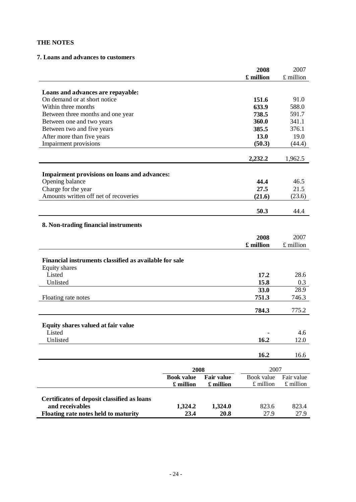## **7. Loans and advances to customers**

|                                                        |                   |                   | 2008              | 2007          |
|--------------------------------------------------------|-------------------|-------------------|-------------------|---------------|
|                                                        |                   |                   | £ million         | $£$ million   |
|                                                        |                   |                   |                   |               |
| Loans and advances are repayable:                      |                   |                   |                   |               |
| On demand or at short notice                           |                   |                   | 151.6             | 91.0          |
| Within three months                                    |                   |                   | 633.9             | 588.0         |
| Between three months and one year                      |                   |                   | 738.5             | 591.7         |
| Between one and two years                              |                   |                   | 360.0<br>385.5    | 341.1         |
| Between two and five years                             |                   |                   | 13.0              | 376.1<br>19.0 |
| After more than five years<br>Impairment provisions    |                   |                   | (50.3)            | (44.4)        |
|                                                        |                   |                   |                   |               |
|                                                        |                   |                   | 2,232.2           | 1,962.5       |
| <b>Impairment provisions on loans and advances:</b>    |                   |                   |                   |               |
| Opening balance                                        |                   |                   | 44.4              | 46.5          |
| Charge for the year                                    |                   |                   | 27.5              | 21.5          |
| Amounts written off net of recoveries                  |                   |                   | (21.6)            | (23.6)        |
|                                                        |                   |                   |                   |               |
|                                                        |                   |                   | 50.3              | 44.4          |
| 8. Non-trading financial instruments                   |                   |                   |                   |               |
|                                                        |                   |                   |                   | 2007          |
|                                                        |                   |                   | 2008<br>£ million | £ million     |
|                                                        |                   |                   |                   |               |
| Financial instruments classified as available for sale |                   |                   |                   |               |
| Equity shares                                          |                   |                   |                   |               |
| Listed                                                 |                   |                   | 17.2              | 28.6          |
| Unlisted                                               |                   |                   | 15.8              | 0.3           |
|                                                        |                   |                   | 33.0              | 28.9          |
| Floating rate notes                                    |                   |                   | 751.3             | 746.3         |
|                                                        |                   |                   |                   |               |
|                                                        |                   |                   | 784.3             | 775.2         |
| Equity shares valued at fair value                     |                   |                   |                   |               |
| Listed                                                 |                   |                   |                   | 4.6           |
| Unlisted                                               |                   |                   | 16.2              | 12.0          |
|                                                        |                   |                   |                   |               |
|                                                        |                   |                   | 16.2              | 16.6          |
|                                                        | 2008              |                   | 2007              |               |
|                                                        | <b>Book value</b> | <b>Fair value</b> | Book value        | Fair value    |
|                                                        | £ million         | £ million         | $£$ million       | $£$ million   |
|                                                        |                   |                   |                   |               |
| Certificates of deposit classified as loans            |                   |                   |                   |               |
| and receivables                                        | 1,324.2           | 1,324.0           | 823.6             | 823.4         |
| Floating rate notes held to maturity                   | 23.4              | 20.8              | 27.9              | 27.9          |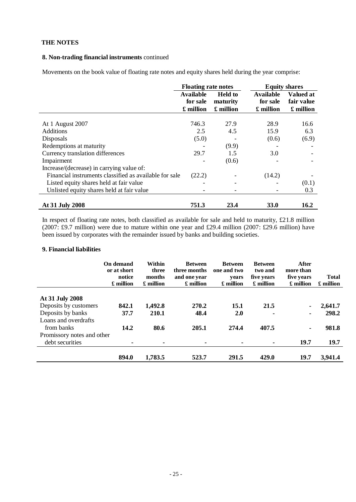## **8. Non-trading financial instruments** continued

Movements on the book value of floating rate notes and equity shares held during the year comprise:

|                                                        | <b>Floating rate notes</b>                |                                         |                                           | <b>Equity shares</b>                 |
|--------------------------------------------------------|-------------------------------------------|-----------------------------------------|-------------------------------------------|--------------------------------------|
|                                                        | <b>Available</b><br>for sale<br>£ million | <b>Held to</b><br>maturity<br>£ million | <b>Available</b><br>for sale<br>£ million | Valued at<br>fair value<br>£ million |
| At 1 August 2007                                       | 746.3                                     | 27.9                                    | 28.9                                      | 16.6                                 |
| <b>Additions</b>                                       | 2.5                                       | 4.5                                     | 15.9                                      | 6.3                                  |
|                                                        |                                           |                                         |                                           |                                      |
| Disposals                                              | (5.0)                                     |                                         | (0.6)                                     | (6.9)                                |
| Redemptions at maturity                                |                                           | (9.9)                                   |                                           |                                      |
| Currency translation differences                       | 29.7                                      | 1.5                                     | 3.0                                       |                                      |
| Impairment                                             |                                           | (0.6)                                   |                                           |                                      |
| Increase/(decrease) in carrying value of:              |                                           |                                         |                                           |                                      |
| Financial instruments classified as available for sale | (22.2)                                    |                                         | (14.2)                                    |                                      |
| Listed equity shares held at fair value                |                                           |                                         |                                           | (0.1)                                |
| Unlisted equity shares held at fair value              |                                           |                                         |                                           | 0.3                                  |
| At 31 July 2008                                        | 751.3                                     | 23.4                                    | <b>33.0</b>                               | 16.2                                 |

In respect of floating rate notes, both classified as available for sale and held to maturity, £21.8 million (2007: £9.7 million) were due to mature within one year and £29.4 million (2007: £29.6 million) have been issued by corporates with the remainder issued by banks and building societies.

# **9. Financial liabilities**

|                            | On demand<br>or at short<br>notice<br>£ million | Within<br>three<br>months<br>£ million | <b>Between</b><br>three months<br>and one year<br>£ million | <b>Between</b><br>one and two<br>vears<br>£ million | <b>Between</b><br>two and<br>five years<br>£ million | <b>After</b><br>more than<br>five years<br>£ million | <b>Total</b><br>£ million |
|----------------------------|-------------------------------------------------|----------------------------------------|-------------------------------------------------------------|-----------------------------------------------------|------------------------------------------------------|------------------------------------------------------|---------------------------|
| At 31 July 2008            |                                                 |                                        |                                                             |                                                     |                                                      |                                                      |                           |
| Deposits by customers      | 842.1                                           | 1,492.8                                | 270.2                                                       | <b>15.1</b>                                         | 21.5                                                 |                                                      | 2,641.7                   |
| Deposits by banks          | 37.7                                            | 210.1                                  | 48.4                                                        | 2.0                                                 |                                                      | $\blacksquare$                                       | 298.2                     |
| Loans and overdrafts       |                                                 |                                        |                                                             |                                                     |                                                      |                                                      |                           |
| from banks                 | 14.2                                            | 80.6                                   | 205.1                                                       | 274.4                                               | 407.5                                                | $\blacksquare$                                       | 981.8                     |
| Promissory notes and other |                                                 |                                        |                                                             |                                                     |                                                      |                                                      |                           |
| debt securities            | $\blacksquare$                                  | $\blacksquare$                         |                                                             |                                                     |                                                      | <b>19.7</b>                                          | 19.7                      |
|                            | 894.0                                           | 1,783.5                                | 523.7                                                       | 291.5                                               | 429.0                                                | 19.7                                                 | 3,941.4                   |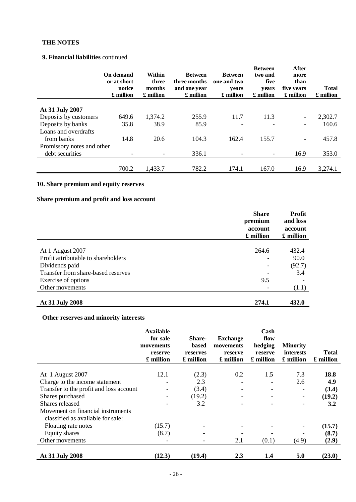## **9. Financial liabilities** continued

|                            | On demand<br>or at short<br>notice<br>£ million | Within<br>three<br>months<br>£ million | <b>Between</b><br>three months<br>and one year<br>£ million | <b>Between</b><br>one and two<br>vears<br>£ million | <b>Between</b><br>two and<br>five<br>vears<br>£ million | <b>After</b><br>more<br>than<br>five years<br>£ million | <b>Total</b><br>£ million |
|----------------------------|-------------------------------------------------|----------------------------------------|-------------------------------------------------------------|-----------------------------------------------------|---------------------------------------------------------|---------------------------------------------------------|---------------------------|
|                            |                                                 |                                        |                                                             |                                                     |                                                         |                                                         |                           |
| At 31 July 2007            |                                                 |                                        |                                                             |                                                     |                                                         |                                                         |                           |
| Deposits by customers      | 649.6                                           | 1,374.2                                | 255.9                                                       | 11.7                                                | 11.3                                                    |                                                         | 2,302.7                   |
| Deposits by banks          | 35.8                                            | 38.9                                   | 85.9                                                        | ۰                                                   |                                                         | -                                                       | 160.6                     |
| Loans and overdrafts       |                                                 |                                        |                                                             |                                                     |                                                         |                                                         |                           |
| from banks                 | 14.8                                            | 20.6                                   | 104.3                                                       | 162.4                                               | 155.7                                                   | -                                                       | 457.8                     |
| Promissory notes and other |                                                 |                                        |                                                             |                                                     |                                                         |                                                         |                           |
| debt securities            | $\overline{\phantom{a}}$                        |                                        | 336.1                                                       | ٠                                                   | $\overline{\phantom{a}}$                                | 16.9                                                    | 353.0                     |
|                            |                                                 |                                        |                                                             |                                                     |                                                         |                                                         |                           |
|                            | 700.2                                           | 1,433.7                                | 782.2                                                       | 174.1                                               | 167.0                                                   | 16.9                                                    | 3,274.1                   |

# **10. Share premium and equity reserves**

# **Share premium and profit and loss account**

|                                     | <b>Share</b><br>premium | Profit<br>and loss   |
|-------------------------------------|-------------------------|----------------------|
|                                     | account<br>£ million    | account<br>£ million |
|                                     |                         |                      |
| At 1 August 2007                    | 264.6                   | 432.4                |
| Profit attributable to shareholders |                         | 90.0                 |
| Dividends paid                      | ۰                       | (92.7)               |
| Transfer from share-based reserves  |                         | 3.4                  |
| Exercise of options                 | 9.5                     |                      |
| Other movements                     |                         | (1.1)                |
| At 31 July 2008                     | 274.1                   | 432.0                |

# **Other reserves and minority interests**

|                                         | <b>Available</b><br>for sale<br>movements<br>reserve<br>£ million | <b>Share-</b><br>based<br>reserves<br>£ million | <b>Exchange</b><br>movements<br>reserve<br>£ million | Cash<br>flow<br>hedging<br>reserve<br>£ million | <b>Minority</b><br>interests<br>£ million | <b>Total</b><br>£ million |
|-----------------------------------------|-------------------------------------------------------------------|-------------------------------------------------|------------------------------------------------------|-------------------------------------------------|-------------------------------------------|---------------------------|
|                                         | 12.1                                                              |                                                 | 0.2                                                  |                                                 | 7.3                                       | 18.8                      |
| At 1 August 2007                        |                                                                   | (2.3)                                           |                                                      | 1.5                                             |                                           |                           |
| Charge to the income statement          |                                                                   | 2.3                                             |                                                      | -                                               | 2.6                                       | 4.9                       |
| Transfer to the profit and loss account |                                                                   | (3.4)                                           |                                                      | -                                               |                                           | (3.4)                     |
| Shares purchased                        |                                                                   | (19.2)                                          |                                                      |                                                 | -                                         | (19.2)                    |
| Shares released                         |                                                                   | 3.2                                             |                                                      |                                                 |                                           | 3.2                       |
| Movement on financial instruments       |                                                                   |                                                 |                                                      |                                                 |                                           |                           |
| classified as available for sale:       |                                                                   |                                                 |                                                      |                                                 |                                           |                           |
| Floating rate notes                     | (15.7)                                                            |                                                 |                                                      |                                                 |                                           | (15.7)                    |
| Equity shares                           | (8.7)                                                             |                                                 |                                                      |                                                 |                                           | (8.7)                     |
| Other movements                         |                                                                   |                                                 | 2.1                                                  | (0.1)                                           | (4.9)                                     | (2.9)                     |
| At 31 July 2008                         | (12.3)                                                            | (19.4)                                          | 2.3                                                  | 1.4                                             | 5.0                                       | (23.0)                    |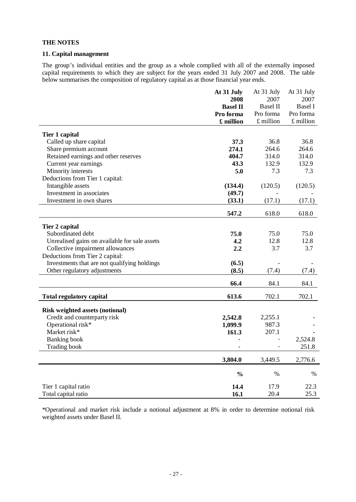### **11. Capital management**

The group's individual entities and the group as a whole complied with all of the externally imposed capital requirements to which they are subject for the years ended 31 July 2007 and 2008. The table below summarises the composition of regulatory capital as at those financial year ends.

|                                               | At 31 July      | At 31 July      | At 31 July     |
|-----------------------------------------------|-----------------|-----------------|----------------|
|                                               | 2008            | 2007            | 2007           |
|                                               | <b>Basel II</b> | <b>Basel II</b> | <b>Basel I</b> |
|                                               | Pro forma       | Pro forma       | Pro forma      |
|                                               | £ million       | $£$ million     | £ million      |
| Tier 1 capital                                |                 |                 |                |
| Called up share capital                       | 37.3            | 36.8            | 36.8           |
| Share premium account                         | 274.1           | 264.6           | 264.6          |
| Retained earnings and other reserves          | 404.7           | 314.0           | 314.0          |
| Current year earnings                         | 43.3            | 132.9           | 132.9          |
| Minority interests                            | 5.0             | 7.3             | 7.3            |
| Deductions from Tier 1 capital:               |                 |                 |                |
| Intangible assets                             | (134.4)         | (120.5)         | (120.5)        |
| Investment in associates                      | (49.7)          |                 |                |
| Investment in own shares                      | (33.1)          | (17.1)          | (17.1)         |
|                                               | 547.2           | 618.0           | 618.0          |
|                                               |                 |                 |                |
| Tier 2 capital                                |                 |                 |                |
| Subordinated debt                             | 75.0            | 75.0            | 75.0           |
| Unrealised gains on available for sale assets | 4.2             | 12.8            | 12.8           |
| Collective impairment allowances              | 2.2             | 3.7             | 3.7            |
| Deductions from Tier 2 capital:               |                 |                 |                |
| Investments that are not qualifying holdings  | (6.5)           |                 |                |
| Other regulatory adjustments                  | (8.5)           | (7.4)           | (7.4)          |
|                                               |                 |                 |                |
|                                               | 66.4            | 84.1            | 84.1           |
| <b>Total regulatory capital</b>               | 613.6           | 702.1           | 702.1          |
| <b>Risk weighted assets (notional)</b>        |                 |                 |                |
| Credit and counterparty risk                  | 2,542.8         | 2,255.1         |                |
| Operational risk*                             | 1,099.9         | 987.3           |                |
| Market risk*                                  | 161.3           | 207.1           |                |
| <b>Banking</b> book                           |                 |                 | 2,524.8        |
| <b>Trading book</b>                           |                 |                 | 251.8          |
|                                               | 3,804.0         | 3,449.5         | 2,776.6        |
|                                               |                 |                 |                |
|                                               | $\frac{0}{0}$   | $\%$            | $\%$           |
| Tier 1 capital ratio                          | 14.4            | 17.9            | 22.3           |
| Total capital ratio                           | 16.1            | 20.4            | 25.3           |

\*Operational and market risk include a notional adjustment at 8% in order to determine notional risk weighted assets under Basel II.